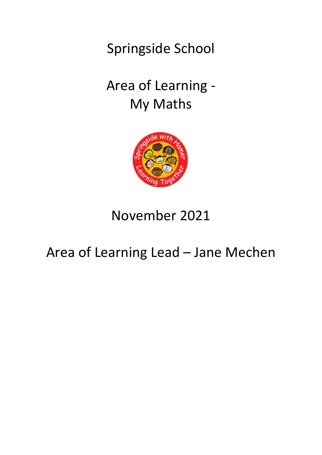Springside School

# Area of Learning - My Maths



# November 2021

# Area of Learning Lead – Jane Mechen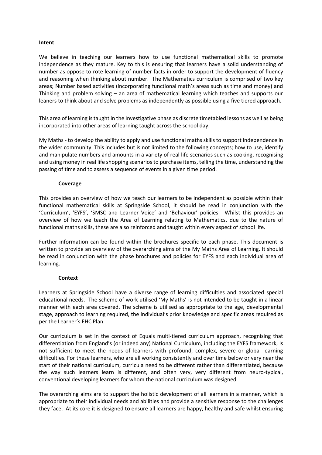#### **Intent**

We believe in teaching our learners how to use functional mathematical skills to promote independence as they mature. Key to this is ensuring that learners have a solid understanding of number as oppose to rote learning of number facts in order to support the development of fluency and reasoning when thinking about number. The Mathematics curriculum is comprised of two key areas; Number based activities (incorporating functional math's areas such as time and money) and Thinking and problem solving – an area of mathematical learning which teaches and supports our leaners to think about and solve problems as independently as possible using a five tiered approach.

This area of learning is taught in the Investigative phase as discrete timetabled lessons as well as being incorporated into other areas of learning taught across the school day.

My Maths - to develop the ability to apply and use functional maths skills to support independence in the wider community. This includes but is not limited to the following concepts; how to use, identify and manipulate numbers and amounts in a variety of real life scenarios such as cooking, recognising and using money in real life shopping scenarios to purchase items, telling the time, understanding the passing of time and to assess a sequence of events in a given time period.

#### **Coverage**

This provides an overview of how we teach our learners to be independent as possible within their functional mathematical skills at Springside School, it should be read in conjunction with the 'Curriculum', 'EYFS', 'SMSC and Learner Voice' and 'Behaviour' policies. Whilst this provides an overview of how we teach the Area of Learning relating to Mathematics, due to the nature of functional maths skills, these are also reinforced and taught within every aspect of school life.

Further information can be found within the brochures specific to each phase. This document is written to provide an overview of the overarching aims of the My Maths Area of Learning. It should be read in conjunction with the phase brochures and policies for EYFS and each individual area of learning.

## **Context**

Learners at Springside School have a diverse range of learning difficulties and associated special educational needs. The scheme of work utilised 'My Maths' is not intended to be taught in a linear manner with each area covered. The scheme is utilised as appropriate to the age, developmental stage, approach to learning required, the individual's prior knowledge and specific areas required as per the Learner's EHC Plan.

Our curriculum is set in the context of Equals multi-tiered curriculum approach, recognising that differentiation from England's (or indeed any) National Curriculum, including the EYFS framework, is not sufficient to meet the needs of learners with profound, complex, severe or global learning difficulties. For these learners, who are all working consistently and over time below or very near the start of their national curriculum, curricula need to be different rather than differentiated, because the way such learners learn is different, and often very, very different from neuro-typical, conventional developing learners for whom the national curriculum was designed.

The overarching aims are to support the holistic development of all learners in a manner, which is appropriate to their individual needs and abilities and provide a sensitive response to the challenges they face. At its core it is designed to ensure all learners are happy, healthy and safe whilst ensuring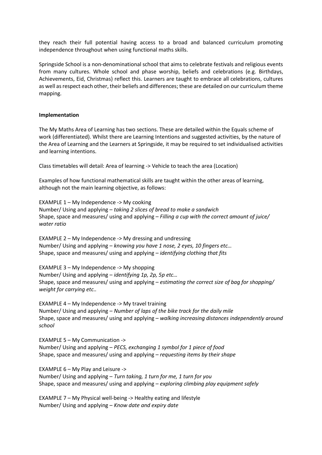they reach their full potential having access to a broad and balanced curriculum promoting independence throughout when using functional maths skills.

Springside School is a non-denominational school that aims to celebrate festivals and religious events from many cultures. Whole school and phase worship, beliefs and celebrations (e.g. Birthdays, Achievements, Eid, Christmas) reflect this. Learners are taught to embrace all celebrations, cultures as well as respect each other, their beliefs and differences; these are detailed on our curriculum theme mapping.

#### **Implementation**

The My Maths Area of Learning has two sections. These are detailed within the Equals scheme of work (differentiated). Whilst there are Learning Intentions and suggested activities, by the nature of the Area of Learning and the Learners at Springside, it may be required to set individualised activities and learning intentions.

Class timetables will detail: Area of learning -> Vehicle to teach the area (Location)

Examples of how functional mathematical skills are taught within the other areas of learning, although not the main learning objective, as follows:

EXAMPLE 1 – My Independence -> My cooking Number/ Using and applying – *taking 2 slices of bread to make a sandwich* Shape, space and measures/ using and applying – *Filling a cup with the correct amount of juice/ water ratio*

EXAMPLE 2 – My Independence -> My dressing and undressing Number/ Using and applying – *knowing you have 1 nose, 2 eyes, 10 fingers etc…* Shape, space and measures/ using and applying – *identifying clothing that fits*

EXAMPLE 3 – My Independence -> My shopping Number/ Using and applying – *identifying 1p, 2p, 5p etc…* Shape, space and measures/ using and applying – *estimating the correct size of bag for shopping/ weight for carrying etc..*

EXAMPLE 4 – My Independence -> My travel training Number/ Using and applying – *Number of laps of the bike track for the daily mile* Shape, space and measures/ using and applying – *walking increasing distances independently around school*

EXAMPLE 5 – My Communication -> Number/ Using and applying – *PECS, exchanging 1 symbol for 1 piece of food* Shape, space and measures/ using and applying – *requesting items by their shape*

EXAMPLE 6 – My Play and Leisure -> Number/ Using and applying – *Turn taking, 1 turn for me, 1 turn for you* Shape, space and measures/ using and applying – *exploring climbing play equipment safely*

EXAMPLE 7 – My Physical well-being -> Healthy eating and lifestyle Number/ Using and applying – *Know date and expiry date*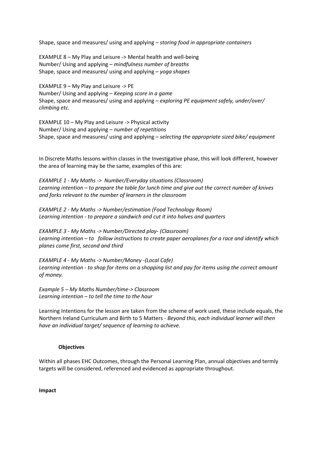Shape, space and measures/ using and applying – *storing food in appropriate containers*

EXAMPLE 8 – My Play and Leisure -> Mental health and well-being Number/ Using and applying – *mindfulness number of breaths* Shape, space and measures/ using and applying – *yoga shapes*

EXAMPLE 9 – My Play and Leisure -> PE Number/ Using and applying – *Keeping score in a game* Shape, space and measures/ using and applying – *exploring PE equipment safely, under/over/ climbing etc.*

EXAMPLE 10 – My Play and Leisure -> Physical activity Number/ Using and applying – *number of repetitions* Shape, space and measures/ using and applying – *selecting the appropriate sized bike/ equipment*

In Discrete Maths lessons within classes in the Investigative phase, this will look different, however the area of learning may be the same, examples of this are:

*EXAMPLE 1 - My Maths -> Number/Everyday situations (Classroom) Learning intention – to prepare the table for lunch time and give out the correct number of knives and forks relevant to the number of learners in the classroom*

*EXAMPLE 2 - My Maths -> Number/estimation (Food Technology Room) Learning intention - to prepare a sandwich and cut it into halves and quarters*

*EXAMPLE 3 - My Maths -> Number/Directed play- (Classroom) Learning intention – to follow instructions to create paper aeroplanes for a race and identify which planes come first, second and third*

*EXAMPLE 4 - My Maths -> Number/Money -(Local Cafe) Learning intention - to shop for items on a shopping list and pay for items using the correct amount of money.*

*Example 5 – My Maths Number/time-> Classroom Learning intention – to tell the time to the hour*

Learning Intentions for the lesson are taken from the scheme of work used, these include equals, the Northern Ireland Curriculum and Birth to 5 Matters - *Beyond this, each individual learner will then have an individual target/ sequence of learning to achieve.*

## **Objectives**

Within all phases EHC Outcomes, through the Personal Learning Plan, annual objectives and termly targets will be considered, referenced and evidenced as appropriate throughout.

**Impact**